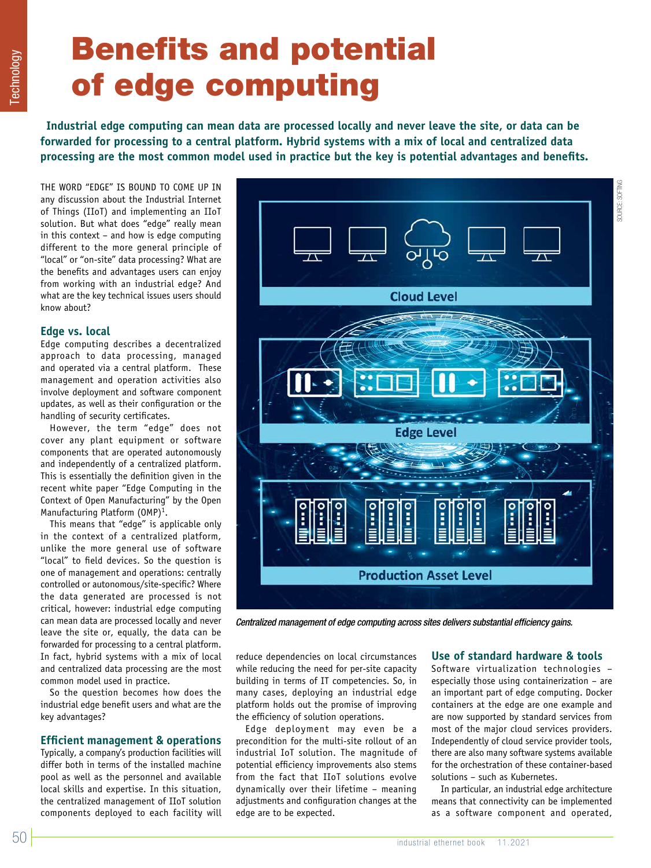# Benefits and potential of edge computing

**Industrial edge computing can mean data are processed locally and never leave the site, or data can be forwarded for processing to a central platform. Hybrid systems with a mix of local and centralized data processing are the most common model used in practice but the key is potential advantages and benefits.**

THE WORD "EDGE" IS BOUND TO COME UP IN any discussion about the Industrial Internet of Things (IIoT) and implementing an IIoT solution. But what does "edge" really mean in this context – and how is edge computing different to the more general principle of "local" or "on-site" data processing? What are the benefits and advantages users can enjoy from working with an industrial edge? And what are the key technical issues users should know about?

## **Edge vs. local**

Edge computing describes a decentralized approach to data processing, managed and operated via a central platform. These management and operation activities also involve deployment and software component updates, as well as their configuration or the handling of security certificates.

However, the term "edge" does not cover any plant equipment or software components that are operated autonomously and independently of a centralized platform. This is essentially the definition given in the recent white paper "Edge Computing in the Context of Open Manufacturing" by the Open Manufacturing Platform (OMP)<sup>1</sup>.

This means that "edge" is applicable only in the context of a centralized platform, unlike the more general use of software "local" to field devices. So the question is one of management and operations: centrally controlled or autonomous/site-specific? Where the data generated are processed is not critical, however: industrial edge computing can mean data are processed locally and never leave the site or, equally, the data can be forwarded for processing to a central platform. In fact, hybrid systems with a mix of local and centralized data processing are the most common model used in practice.

So the question becomes how does the industrial edge benefit users and what are the key advantages?

## **Efficient management & operations**

Typically, a company's production facilities will differ both in terms of the installed machine pool as well as the personnel and available local skills and expertise. In this situation, the centralized management of IIoT solution components deployed to each facility will



*Centralized management of edge computing across sites delivers substantial efficiency gains.*

reduce dependencies on local circumstances while reducing the need for per-site capacity building in terms of IT competencies. So, in many cases, deploying an industrial edge platform holds out the promise of improving the efficiency of solution operations.

Edge deployment may even be a precondition for the multi-site rollout of an industrial IoT solution. The magnitude of potential efficiency improvements also stems from the fact that IIoT solutions evolve dynamically over their lifetime – meaning adjustments and configuration changes at the edge are to be expected.

## **Use of standard hardware & tools**

Software virtualization technologies – especially those using containerization – are an important part of edge computing. Docker containers at the edge are one example and are now supported by standard services from most of the major cloud services providers. Independently of cloud service provider tools, there are also many software systems available for the orchestration of these container-based solutions – such as Kubernetes.

In particular, an industrial edge architecture means that connectivity can be implemented as a software component and operated,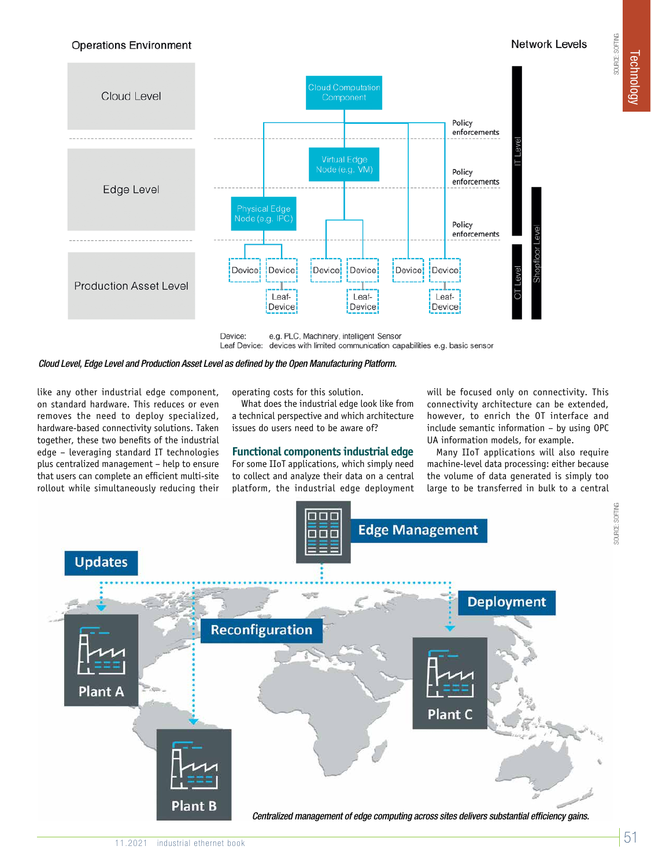## **Operations Environment**

SOURCE: SOFTING

SOURCE: SOFTING



e.g. PLC, Machinery, intelligent Sensor Device: devices with limited communication capabilities e.g. basic sensor Leaf Device:

*Cloud Level, Edge Level and Production Asset Level as defined by the Open Manufacturing Platform.*

like any other industrial edge component, on standard hardware. This reduces or even removes the need to deploy specialized, hardware-based connectivity solutions. Taken together, these two benefits of the industrial edge – leveraging standard IT technologies plus centralized management – help to ensure that users can complete an efficient multi-site rollout while simultaneously reducing their operating costs for this solution.

What does the industrial edge look like from a technical perspective and which architecture issues do users need to be aware of?

**Functional components industrial edge**

For some IIoT applications, which simply need to collect and analyze their data on a central platform, the industrial edge deployment will be focused only on connectivity. This connectivity architecture can be extended, however, to enrich the OT interface and include semantic information – by using OPC UA information models, for example.

Many IIoT applications will also require machine-level data processing: either because the volume of data generated is simply too large to be transferred in bulk to a central